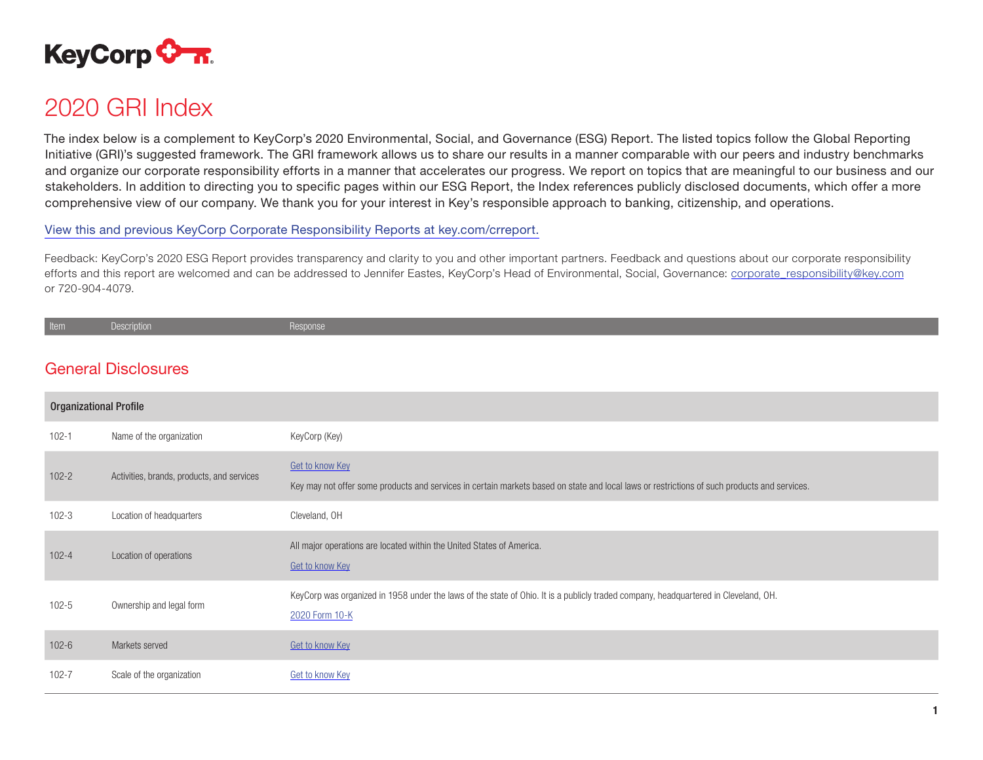

# 2020 GRI Index

The index below is a complement to KeyCorp's 2020 Environmental, Social, and Governance (ESG) Report. The listed topics follow the Global Reporting Initiative (GRI)'s suggested framework. The GRI framework allows us to share our results in a manner comparable with our peers and industry benchmarks and organize our corporate responsibility efforts in a manner that accelerates our progress. We report on topics that are meaningful to our business and our stakeholders. In addition to directing you to specific pages within our ESG Report, the Index references publicly disclosed documents, which offer a more comprehensive view of our company. We thank you for your interest in Key's responsible approach to banking, citizenship, and operations.

[View this and previous KeyCorp Corporate Responsibility Reports at key.com/crreport.](http://key.com/crreport)

Feedback: KeyCorp's 2020 ESG Report provides transparency and clarity to you and other important partners. Feedback and questions about our corporate responsibility efforts and this report are welcomed and can be addressed to Jennifer Eastes, KeyCorp's Head of Environmental, Social, Governance: [corporate\\_responsibility@key.com](mailto:corporate_responsibility%40key.com?subject=) or 720-904-4079.

| 1 L V II 1 | Description | <b>Response</b> |
|------------|-------------|-----------------|
|            |             |                 |

# General Disclosures

| <b>Organizational Profile</b> |                                            |                                                                                                                                                                 |
|-------------------------------|--------------------------------------------|-----------------------------------------------------------------------------------------------------------------------------------------------------------------|
| $102 - 1$                     | Name of the organization                   | KeyCorp (Key)                                                                                                                                                   |
| $102 - 2$                     | Activities, brands, products, and services | Get to know Key<br>Key may not offer some products and services in certain markets based on state and local laws or restrictions of such products and services. |
| $102 - 3$                     | Location of headquarters                   | Cleveland, OH                                                                                                                                                   |
| $102 - 4$                     | Location of operations                     | All major operations are located within the United States of America.<br>Get to know Key                                                                        |
| $102 - 5$                     | Ownership and legal form                   | KeyCorp was organized in 1958 under the laws of the state of Ohio. It is a publicly traded company, headquartered in Cleveland, OH.<br>2020 Form 10-K           |
| $102 - 6$                     | Markets served                             | Get to know Key                                                                                                                                                 |
| $102 - 7$                     | Scale of the organization                  | Get to know Key                                                                                                                                                 |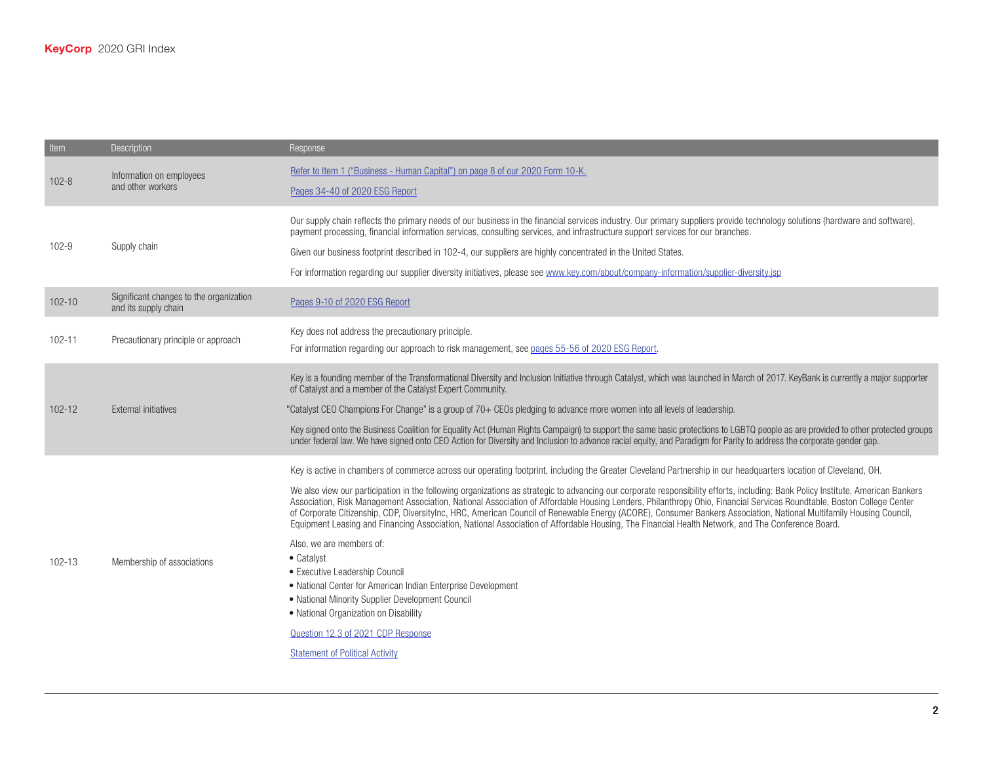| Item       | <b>Description</b>                                              | Response                                                                                                                                                                                                                                                                                                                                                                                                                                                                                                                                                                                                                                                                                                                                                                                                                                                                                                                                                                                                                                                                                                                                                                          |
|------------|-----------------------------------------------------------------|-----------------------------------------------------------------------------------------------------------------------------------------------------------------------------------------------------------------------------------------------------------------------------------------------------------------------------------------------------------------------------------------------------------------------------------------------------------------------------------------------------------------------------------------------------------------------------------------------------------------------------------------------------------------------------------------------------------------------------------------------------------------------------------------------------------------------------------------------------------------------------------------------------------------------------------------------------------------------------------------------------------------------------------------------------------------------------------------------------------------------------------------------------------------------------------|
| $102 - 8$  | Information on employees<br>and other workers                   | Refer to Item 1 ("Business - Human Capital") on page 8 of our 2020 Form 10-K.<br>Pages 34-40 of 2020 ESG Report                                                                                                                                                                                                                                                                                                                                                                                                                                                                                                                                                                                                                                                                                                                                                                                                                                                                                                                                                                                                                                                                   |
| $102 - 9$  | Supply chain                                                    | Our supply chain reflects the primary needs of our business in the financial services industry. Our primary suppliers provide technology solutions (hardware and software),<br>payment processing, financial information services, consulting services, and infrastructure support services for our branches.<br>Given our business footprint described in 102-4, our suppliers are highly concentrated in the United States.<br>For information regarding our supplier diversity initiatives, please see www.key.com/about/company-information/supplier-diversity.jsp                                                                                                                                                                                                                                                                                                                                                                                                                                                                                                                                                                                                            |
| $102 - 10$ | Significant changes to the organization<br>and its supply chain | Pages 9-10 of 2020 ESG Report                                                                                                                                                                                                                                                                                                                                                                                                                                                                                                                                                                                                                                                                                                                                                                                                                                                                                                                                                                                                                                                                                                                                                     |
| $102 - 11$ | Precautionary principle or approach                             | Key does not address the precautionary principle.<br>For information regarding our approach to risk management, see pages 55-56 of 2020 ESG Report.                                                                                                                                                                                                                                                                                                                                                                                                                                                                                                                                                                                                                                                                                                                                                                                                                                                                                                                                                                                                                               |
| $102 - 12$ | <b>External initiatives</b>                                     | Key is a founding member of the Transformational Diversity and Inclusion Initiative through Catalyst, which was launched in March of 2017. KeyBank is currently a major supporter<br>of Catalyst and a member of the Catalyst Expert Community.<br>"Catalyst CEO Champions For Change" is a group of 70+ CEOs pledging to advance more women into all levels of leadership.<br>Key signed onto the Business Coalition for Equality Act (Human Rights Campaign) to support the same basic protections to LGBTQ people as are provided to other protected groups<br>under federal law. We have signed onto CEO Action for Diversity and Inclusion to advance racial equity, and Paradigm for Parity to address the corporate gender gap.                                                                                                                                                                                                                                                                                                                                                                                                                                            |
| 102-13     | Membership of associations                                      | Key is active in chambers of commerce across our operating footprint, including the Greater Cleveland Partnership in our headquarters location of Cleveland, OH.<br>We also view our participation in the following organizations as strategic to advancing our corporate responsibility efforts, including: Bank Policy Institute, American Bankers<br>Association, Risk Management Association, National Association of Affordable Housing Lenders, Philanthropy Ohio, Financial Services Roundtable, Boston College Center<br>of Corporate Citizenship, CDP, Diversitylnc, HRC, American Council of Renewable Energy (ACORE), Consumer Bankers Association, National Multifamily Housing Council,<br>Equipment Leasing and Financing Association, National Association of Affordable Housing, The Financial Health Network, and The Conference Board.<br>Also, we are members of:<br>• Catalyst<br>• Executive Leadership Council<br>• National Center for American Indian Enterprise Development<br>• National Minority Supplier Development Council<br>• National Organization on Disability<br>Question 12.3 of 2021 CDP Response<br><b>Statement of Political Activity</b> |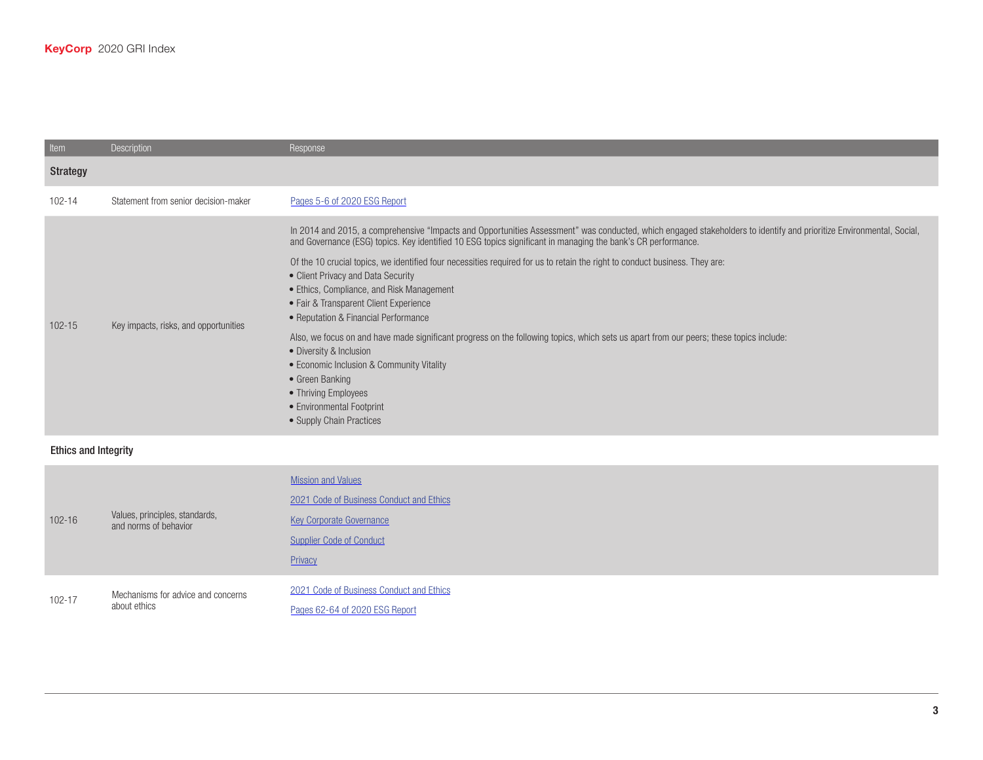| Item       | <b>Description</b>                    | Response                                                                                                                                                                                                                                                                                                                                                                                                                                                                                                                                                                                                                                                                                                                                                                                                                                                                                                        |
|------------|---------------------------------------|-----------------------------------------------------------------------------------------------------------------------------------------------------------------------------------------------------------------------------------------------------------------------------------------------------------------------------------------------------------------------------------------------------------------------------------------------------------------------------------------------------------------------------------------------------------------------------------------------------------------------------------------------------------------------------------------------------------------------------------------------------------------------------------------------------------------------------------------------------------------------------------------------------------------|
| Strategy   |                                       |                                                                                                                                                                                                                                                                                                                                                                                                                                                                                                                                                                                                                                                                                                                                                                                                                                                                                                                 |
| 102-14     | Statement from senior decision-maker  | Pages 5-6 of 2020 ESG Report                                                                                                                                                                                                                                                                                                                                                                                                                                                                                                                                                                                                                                                                                                                                                                                                                                                                                    |
| $102 - 15$ | Key impacts, risks, and opportunities | In 2014 and 2015, a comprehensive "Impacts and Opportunities Assessment" was conducted, which engaged stakeholders to identify and prioritize Environmental, Social,<br>and Governance (ESG) topics. Key identified 10 ESG topics significant in managing the bank's CR performance.<br>Of the 10 crucial topics, we identified four necessities required for us to retain the right to conduct business. They are:<br>• Client Privacy and Data Security<br>• Ethics, Compliance, and Risk Management<br>• Fair & Transparent Client Experience<br>• Reputation & Financial Performance<br>Also, we focus on and have made significant progress on the following topics, which sets us apart from our peers; these topics include:<br>• Diversity & Inclusion<br>• Economic Inclusion & Community Vitality<br>• Green Banking<br>• Thriving Employees<br>• Environmental Footprint<br>• Supply Chain Practices |

### Ethics and Integrity

| $102 - 16$ | Values, principles, standards,<br>and norms of behavior | <b>Mission and Values</b><br>2021 Code of Business Conduct and Ethics<br><b>Key Corporate Governance</b><br><b>Supplier Code of Conduct</b><br>Privacy |
|------------|---------------------------------------------------------|--------------------------------------------------------------------------------------------------------------------------------------------------------|
| 102-17     | Mechanisms for advice and concerns<br>about ethics      | 2021 Code of Business Conduct and Ethics<br>Pages 62-64 of 2020 ESG Report                                                                             |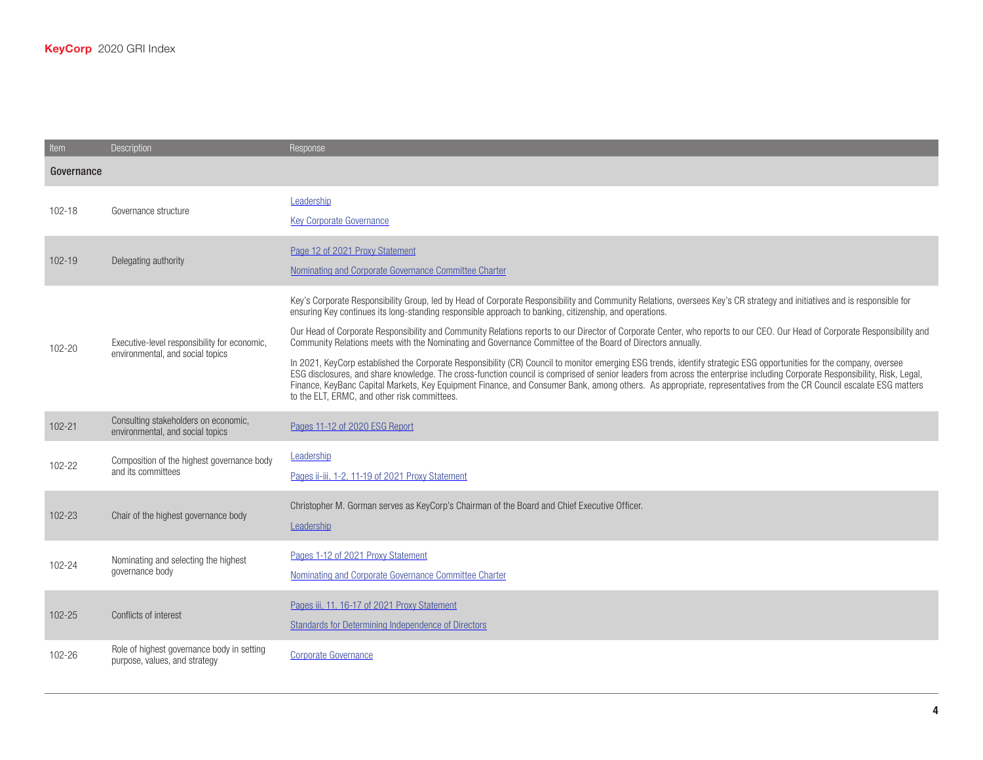| Item       | <b>Description</b>                                                               | Response                                                                                                                                                                                                                                                                                                                                                                                                                                                                                                                                                                       |  |
|------------|----------------------------------------------------------------------------------|--------------------------------------------------------------------------------------------------------------------------------------------------------------------------------------------------------------------------------------------------------------------------------------------------------------------------------------------------------------------------------------------------------------------------------------------------------------------------------------------------------------------------------------------------------------------------------|--|
|            | Governance                                                                       |                                                                                                                                                                                                                                                                                                                                                                                                                                                                                                                                                                                |  |
| 102-18     | Governance structure                                                             | Leadership<br><b>Key Corporate Governance</b>                                                                                                                                                                                                                                                                                                                                                                                                                                                                                                                                  |  |
| $102 - 19$ | Delegating authority                                                             | Page 12 of 2021 Proxy Statement<br>Nominating and Corporate Governance Committee Charter                                                                                                                                                                                                                                                                                                                                                                                                                                                                                       |  |
| 102-20     | Executive-level responsibility for economic,<br>environmental, and social topics | Key's Corporate Responsibility Group, led by Head of Corporate Responsibility and Community Relations, oversees Key's CR strategy and initiatives and is responsible for<br>ensuring Key continues its long-standing responsible approach to banking, citizenship, and operations.<br>Our Head of Corporate Responsibility and Community Relations reports to our Director of Corporate Center, who reports to our CEO. Our Head of Corporate Responsibility and<br>Community Relations meets with the Nominating and Governance Committee of the Board of Directors annually. |  |
|            |                                                                                  | In 2021, KeyCorp established the Corporate Responsibility (CR) Council to monitor emerging ESG trends, identify strategic ESG opportunities for the company, oversee<br>ESG disclosures, and share knowledge. The cross-function council is comprised of senior leaders from across the enterprise including Corporate Responsibility, Risk, Legal,<br>Finance, KeyBanc Capital Markets, Key Equipment Finance, and Consumer Bank, among others. As appropriate, representatives from the CR Council escalate ESG matters<br>to the ELT, ERMC, and other risk committees.      |  |
| $102 - 21$ | Consulting stakeholders on economic,<br>environmental, and social topics         | Pages 11-12 of 2020 ESG Report                                                                                                                                                                                                                                                                                                                                                                                                                                                                                                                                                 |  |
| 102-22     | Composition of the highest governance body<br>and its committees                 | Leadership<br>Pages ii-iii, 1-2, 11-19 of 2021 Proxy Statement                                                                                                                                                                                                                                                                                                                                                                                                                                                                                                                 |  |
| 102-23     | Chair of the highest governance body                                             | Christopher M. Gorman serves as KeyCorp's Chairman of the Board and Chief Executive Officer.<br>Leadership                                                                                                                                                                                                                                                                                                                                                                                                                                                                     |  |
| 102-24     | Nominating and selecting the highest<br>governance body                          | Pages 1-12 of 2021 Proxy Statement<br>Nominating and Corporate Governance Committee Charter                                                                                                                                                                                                                                                                                                                                                                                                                                                                                    |  |
| 102-25     | Conflicts of interest                                                            | Pages iii, 11, 16-17 of 2021 Proxy Statement<br>Standards for Determining Independence of Directors                                                                                                                                                                                                                                                                                                                                                                                                                                                                            |  |
| 102-26     | Role of highest governance body in setting<br>purpose, values, and strategy      | <b>Corporate Governance</b>                                                                                                                                                                                                                                                                                                                                                                                                                                                                                                                                                    |  |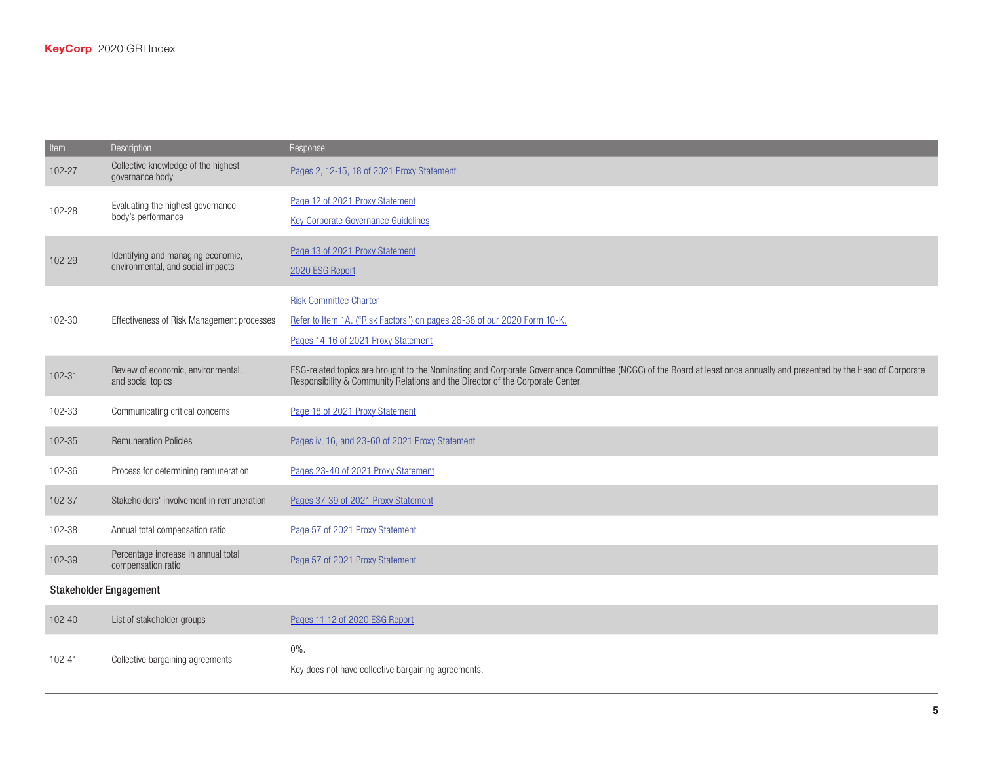| Item                          | Description                                               | Response                                                                                                                                                                                                                                                |
|-------------------------------|-----------------------------------------------------------|---------------------------------------------------------------------------------------------------------------------------------------------------------------------------------------------------------------------------------------------------------|
| 102-27                        | Collective knowledge of the highest<br>governance body    | Pages 2, 12-15, 18 of 2021 Proxy Statement                                                                                                                                                                                                              |
| 102-28                        | Evaluating the highest governance                         | Page 12 of 2021 Proxy Statement                                                                                                                                                                                                                         |
|                               | body's performance                                        | <b>Key Corporate Governance Guidelines</b>                                                                                                                                                                                                              |
| 102-29                        | Identifying and managing economic,                        | Page 13 of 2021 Proxy Statement                                                                                                                                                                                                                         |
|                               | environmental, and social impacts                         | 2020 ESG Report                                                                                                                                                                                                                                         |
|                               |                                                           | <b>Risk Committee Charter</b>                                                                                                                                                                                                                           |
| 102-30                        | Effectiveness of Risk Management processes                | Refer to Item 1A. ("Risk Factors") on pages 26-38 of our 2020 Form 10-K.                                                                                                                                                                                |
|                               |                                                           | Pages 14-16 of 2021 Proxy Statement                                                                                                                                                                                                                     |
| 102-31                        | Review of economic, environmental,<br>and social topics   | ESG-related topics are brought to the Nominating and Corporate Governance Committee (NCGC) of the Board at least once annually and presented by the Head of Corporate<br>Responsibility & Community Relations and the Director of the Corporate Center. |
| 102-33                        | Communicating critical concerns                           | Page 18 of 2021 Proxy Statement                                                                                                                                                                                                                         |
| 102-35                        | <b>Remuneration Policies</b>                              | Pages iv, 16, and 23-60 of 2021 Proxy Statement                                                                                                                                                                                                         |
| 102-36                        | Process for determining remuneration                      | Pages 23-40 of 2021 Proxy Statement                                                                                                                                                                                                                     |
| 102-37                        | Stakeholders' involvement in remuneration                 | Pages 37-39 of 2021 Proxy Statement                                                                                                                                                                                                                     |
| 102-38                        | Annual total compensation ratio                           | Page 57 of 2021 Proxy Statement                                                                                                                                                                                                                         |
| 102-39                        | Percentage increase in annual total<br>compensation ratio | Page 57 of 2021 Proxy Statement                                                                                                                                                                                                                         |
| <b>Stakeholder Engagement</b> |                                                           |                                                                                                                                                                                                                                                         |
| $102 - 40$                    | List of stakeholder groups                                | Pages 11-12 of 2020 ESG Report                                                                                                                                                                                                                          |
| 102-41                        |                                                           | $0\%$ .                                                                                                                                                                                                                                                 |
|                               | Collective bargaining agreements                          | Key does not have collective bargaining agreements.                                                                                                                                                                                                     |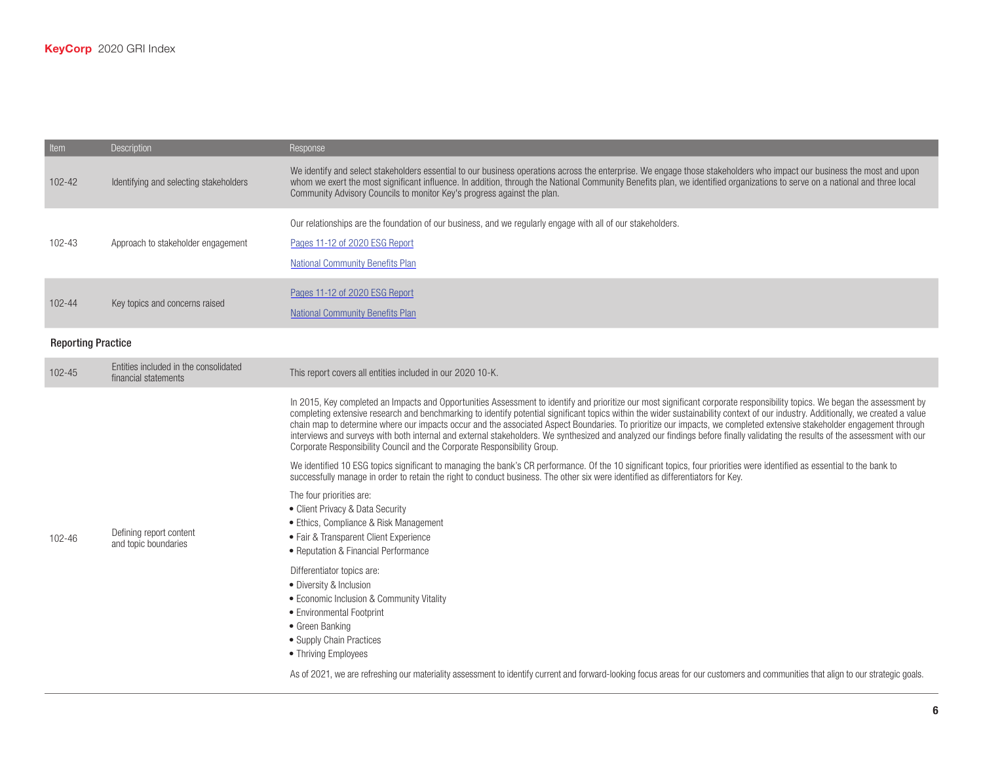| Item                      | Description                                                   | Response                                                                                                                                                                                                                                                                                                                                                                                                                                                                                                                                                                                                                                                                                                                                                                                               |
|---------------------------|---------------------------------------------------------------|--------------------------------------------------------------------------------------------------------------------------------------------------------------------------------------------------------------------------------------------------------------------------------------------------------------------------------------------------------------------------------------------------------------------------------------------------------------------------------------------------------------------------------------------------------------------------------------------------------------------------------------------------------------------------------------------------------------------------------------------------------------------------------------------------------|
| 102-42                    | Identifying and selecting stakeholders                        | We identify and select stakeholders essential to our business operations across the enterprise. We engage those stakeholders who impact our business the most and upon<br>whom we exert the most significant influence. In addition, through the National Community Benefits plan, we identified organizations to serve on a national and three local<br>Community Advisory Councils to monitor Key's progress against the plan.                                                                                                                                                                                                                                                                                                                                                                       |
| 102-43                    | Approach to stakeholder engagement                            | Our relationships are the foundation of our business, and we regularly engage with all of our stakeholders.<br>Pages 11-12 of 2020 ESG Report<br><b>National Community Benefits Plan</b>                                                                                                                                                                                                                                                                                                                                                                                                                                                                                                                                                                                                               |
| 102-44                    | Key topics and concerns raised                                | Pages 11-12 of 2020 ESG Report<br><b>National Community Benefits Plan</b>                                                                                                                                                                                                                                                                                                                                                                                                                                                                                                                                                                                                                                                                                                                              |
| <b>Reporting Practice</b> |                                                               |                                                                                                                                                                                                                                                                                                                                                                                                                                                                                                                                                                                                                                                                                                                                                                                                        |
| 102-45                    | Entities included in the consolidated<br>financial statements | This report covers all entities included in our 2020 10-K.                                                                                                                                                                                                                                                                                                                                                                                                                                                                                                                                                                                                                                                                                                                                             |
|                           | Defining report content<br>and topic boundaries               | In 2015, Key completed an Impacts and Opportunities Assessment to identify and prioritize our most significant corporate responsibility topics. We began the assessment by<br>completing extensive research and benchmarking to identify potential significant topics within the wider sustainability context of our industry. Additionally, we created a value<br>chain map to determine where our impacts occur and the associated Aspect Boundaries. To prioritize our impacts, we completed extensive stakeholder engagement through<br>interviews and surveys with both internal and external stakeholders. We synthesized and analyzed our findings before finally validating the results of the assessment with our<br>Corporate Responsibility Council and the Corporate Responsibility Group. |
|                           |                                                               | We identified 10 ESG topics significant to managing the bank's CR performance. Of the 10 significant topics, four priorities were identified as essential to the bank to<br>successfully manage in order to retain the right to conduct business. The other six were identified as differentiators for Key.<br>The four priorities are:<br>• Client Privacy & Data Security<br>• Ethics, Compliance & Risk Management                                                                                                                                                                                                                                                                                                                                                                                  |
| 102-46                    |                                                               | • Fair & Transparent Client Experience<br>• Reputation & Financial Performance                                                                                                                                                                                                                                                                                                                                                                                                                                                                                                                                                                                                                                                                                                                         |
|                           |                                                               | Differentiator topics are:<br>• Diversity & Inclusion<br>• Economic Inclusion & Community Vitality<br>• Environmental Footprint<br>• Green Banking<br>• Supply Chain Practices<br>• Thriving Employees                                                                                                                                                                                                                                                                                                                                                                                                                                                                                                                                                                                                 |
|                           |                                                               | As of 2021, we are refreshing our materiality assessment to identify current and forward-looking focus areas for our customers and communities that align to our strategic goals.                                                                                                                                                                                                                                                                                                                                                                                                                                                                                                                                                                                                                      |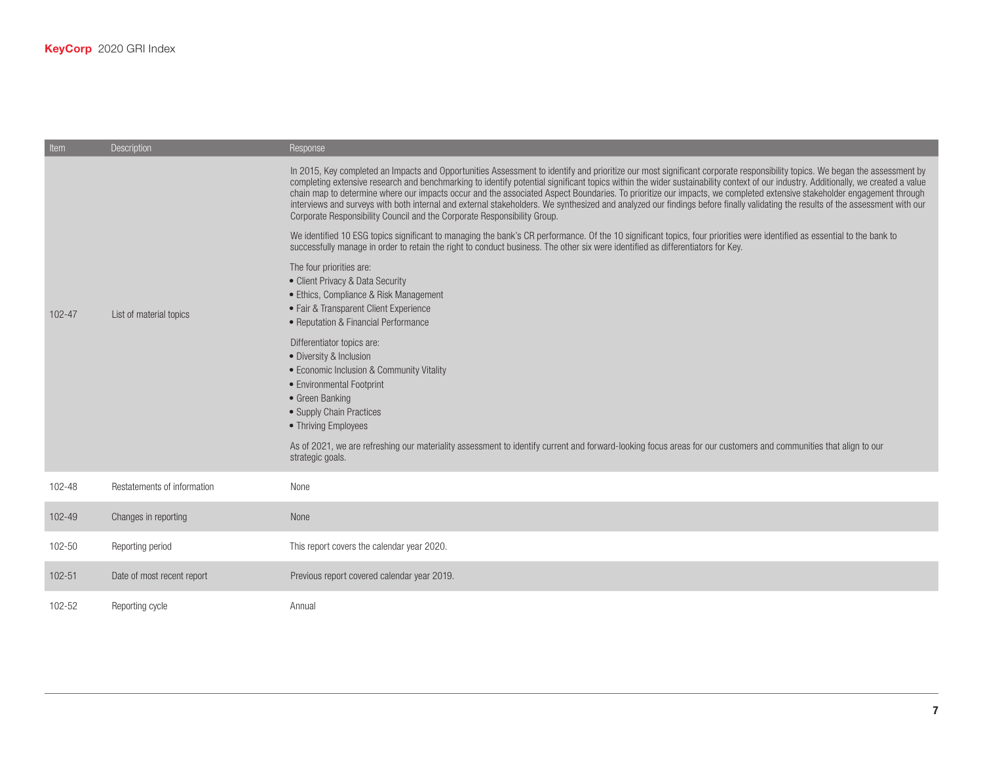| Item       | <b>Description</b>          | Response                                                                                                                                                                                                                                                                                                                                                                                                                                                                                                                                                                                                                                                                                                                                                                                               |
|------------|-----------------------------|--------------------------------------------------------------------------------------------------------------------------------------------------------------------------------------------------------------------------------------------------------------------------------------------------------------------------------------------------------------------------------------------------------------------------------------------------------------------------------------------------------------------------------------------------------------------------------------------------------------------------------------------------------------------------------------------------------------------------------------------------------------------------------------------------------|
|            |                             | In 2015, Key completed an Impacts and Opportunities Assessment to identify and prioritize our most significant corporate responsibility topics. We began the assessment by<br>completing extensive research and benchmarking to identify potential significant topics within the wider sustainability context of our industry. Additionally, we created a value<br>chain map to determine where our impacts occur and the associated Aspect Boundaries. To prioritize our impacts, we completed extensive stakeholder engagement through<br>interviews and surveys with both internal and external stakeholders. We synthesized and analyzed our findings before finally validating the results of the assessment with our<br>Corporate Responsibility Council and the Corporate Responsibility Group. |
|            |                             | We identified 10 ESG topics significant to managing the bank's CR performance. Of the 10 significant topics, four priorities were identified as essential to the bank to<br>successfully manage in order to retain the right to conduct business. The other six were identified as differentiators for Key.                                                                                                                                                                                                                                                                                                                                                                                                                                                                                            |
| $102 - 47$ | List of material topics     | The four priorities are:<br>• Client Privacy & Data Security<br>• Ethics, Compliance & Risk Management<br>• Fair & Transparent Client Experience<br>• Reputation & Financial Performance                                                                                                                                                                                                                                                                                                                                                                                                                                                                                                                                                                                                               |
|            |                             | Differentiator topics are:<br>• Diversity & Inclusion<br>• Economic Inclusion & Community Vitality<br>• Environmental Footprint<br>• Green Banking<br>• Supply Chain Practices<br>• Thriving Employees                                                                                                                                                                                                                                                                                                                                                                                                                                                                                                                                                                                                 |
|            |                             | As of 2021, we are refreshing our materiality assessment to identify current and forward-looking focus areas for our customers and communities that align to our<br>strategic goals.                                                                                                                                                                                                                                                                                                                                                                                                                                                                                                                                                                                                                   |
| 102-48     | Restatements of information | None                                                                                                                                                                                                                                                                                                                                                                                                                                                                                                                                                                                                                                                                                                                                                                                                   |
| 102-49     | Changes in reporting        | None                                                                                                                                                                                                                                                                                                                                                                                                                                                                                                                                                                                                                                                                                                                                                                                                   |
| 102-50     | Reporting period            | This report covers the calendar year 2020.                                                                                                                                                                                                                                                                                                                                                                                                                                                                                                                                                                                                                                                                                                                                                             |
| $102 - 51$ | Date of most recent report  | Previous report covered calendar year 2019.                                                                                                                                                                                                                                                                                                                                                                                                                                                                                                                                                                                                                                                                                                                                                            |
| 102-52     | Reporting cycle             | Annual                                                                                                                                                                                                                                                                                                                                                                                                                                                                                                                                                                                                                                                                                                                                                                                                 |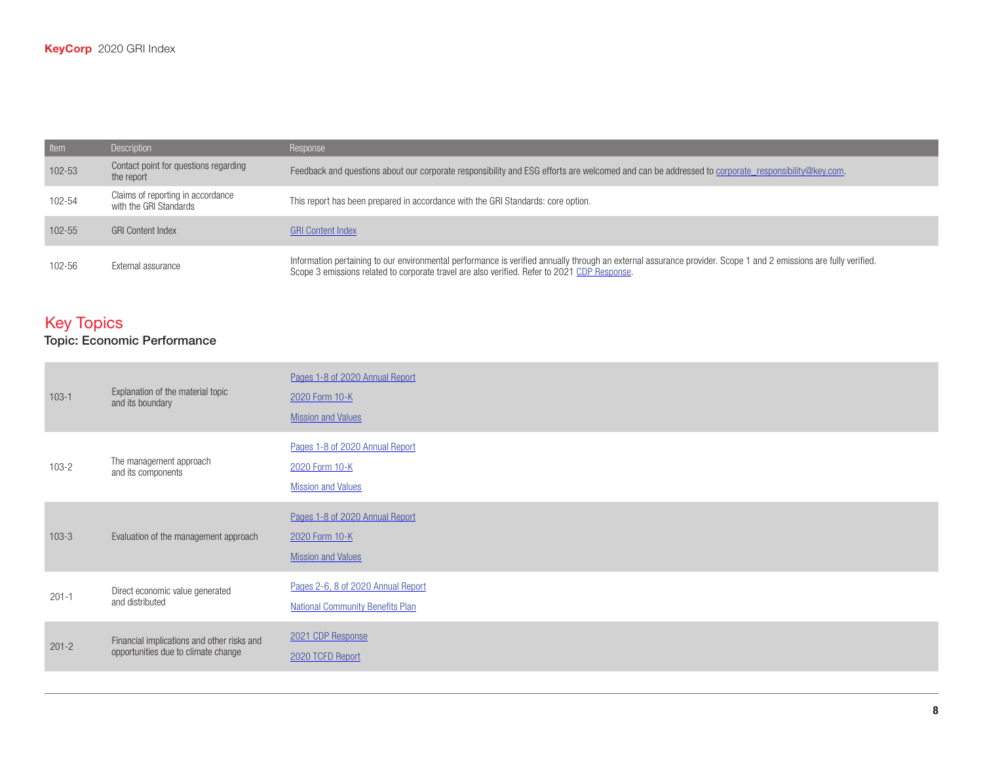| Item       | Description                                                 | Response                                                                                                                                                                                                                                                         |
|------------|-------------------------------------------------------------|------------------------------------------------------------------------------------------------------------------------------------------------------------------------------------------------------------------------------------------------------------------|
| 102-53     | Contact point for questions regarding<br>the report         | Feedback and questions about our corporate responsibility and ESG efforts are welcomed and can be addressed to corporate responsibility@key.com.                                                                                                                 |
| 102-54     | Claims of reporting in accordance<br>with the GRI Standards | This report has been prepared in accordance with the GRI Standards: core option.                                                                                                                                                                                 |
| $102 - 55$ | <b>GRI Content Index</b>                                    | <b>GRI Content Index</b>                                                                                                                                                                                                                                         |
| 102-56     | External assurance                                          | Information pertaining to our environmental performance is verified annually through an external assurance provider. Scope 1 and 2 emissions are fully verified.<br>Scope 3 emissions related to corporate travel are also verified. Refer to 2021 CDP Response. |

# Key Topics

#### Topic: Economic Performance

| $103 - 1$ | Explanation of the material topic<br>and its boundary                             | Pages 1-8 of 2020 Annual Report<br>2020 Form 10-K<br><b>Mission and Values</b> |
|-----------|-----------------------------------------------------------------------------------|--------------------------------------------------------------------------------|
| $103 - 2$ | The management approach<br>and its components                                     | Pages 1-8 of 2020 Annual Report<br>2020 Form 10-K<br><b>Mission and Values</b> |
| $103 - 3$ | Evaluation of the management approach                                             | Pages 1-8 of 2020 Annual Report<br>2020 Form 10-K<br><b>Mission and Values</b> |
| $201 - 1$ | Direct economic value generated<br>and distributed                                | Pages 2-6, 8 of 2020 Annual Report<br><b>National Community Benefits Plan</b>  |
| $201 - 2$ | Financial implications and other risks and<br>opportunities due to climate change | 2021 CDP Response<br>2020 TCFD Report                                          |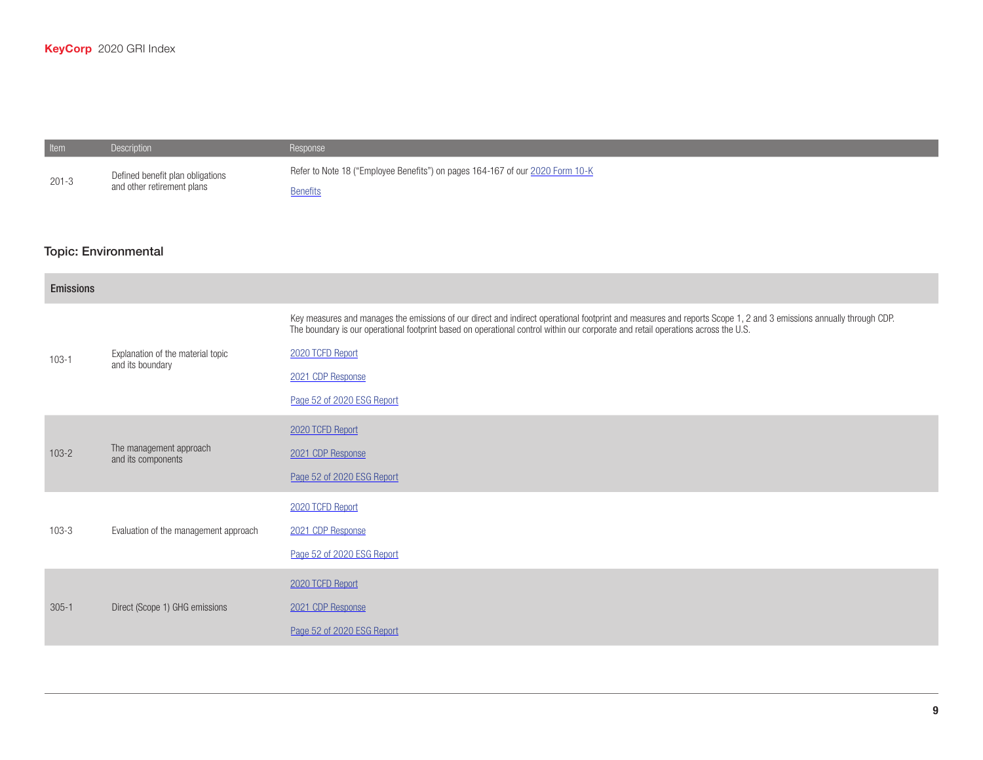**Item Description Description Response** 

| $201 - 3$        | Defined benefit plan obligations<br>and other retirement plans | Refer to Note 18 ("Employee Benefits") on pages 164-167 of our 2020 Form 10-K<br><b>Benefits</b>                                                                                                                                                                                                       |
|------------------|----------------------------------------------------------------|--------------------------------------------------------------------------------------------------------------------------------------------------------------------------------------------------------------------------------------------------------------------------------------------------------|
|                  | <b>Topic: Environmental</b>                                    |                                                                                                                                                                                                                                                                                                        |
| <b>Emissions</b> |                                                                |                                                                                                                                                                                                                                                                                                        |
|                  | Explanation of the material topic<br>and its boundary          | Key measures and manages the emissions of our direct and indirect operational footprint and measures and reports Scope 1, 2 and 3 emissions annually through CDP.<br>The boundary is our operational footprint based on operational control within our corporate and retail operations across the U.S. |
| $103 - 1$        |                                                                | 2020 TCFD Report                                                                                                                                                                                                                                                                                       |
|                  |                                                                | 2021 CDP Response                                                                                                                                                                                                                                                                                      |
|                  |                                                                | Page 52 of 2020 ESG Report                                                                                                                                                                                                                                                                             |
|                  |                                                                | 2020 TCFD Report                                                                                                                                                                                                                                                                                       |
| $103 - 2$        | The management approach<br>and its components                  | 2021 CDP Response                                                                                                                                                                                                                                                                                      |
|                  |                                                                | Page 52 of 2020 ESG Report                                                                                                                                                                                                                                                                             |
|                  |                                                                | 2020 TCFD Report                                                                                                                                                                                                                                                                                       |
| $103 - 3$        | Evaluation of the management approach                          | 2021 CDP Response                                                                                                                                                                                                                                                                                      |
|                  |                                                                | Page 52 of 2020 ESG Report                                                                                                                                                                                                                                                                             |
|                  |                                                                | 2020 TCFD Report                                                                                                                                                                                                                                                                                       |
| $305 - 1$        | Direct (Scope 1) GHG emissions                                 | 2021 CDP Response                                                                                                                                                                                                                                                                                      |
|                  |                                                                | Page 52 of 2020 ESG Report                                                                                                                                                                                                                                                                             |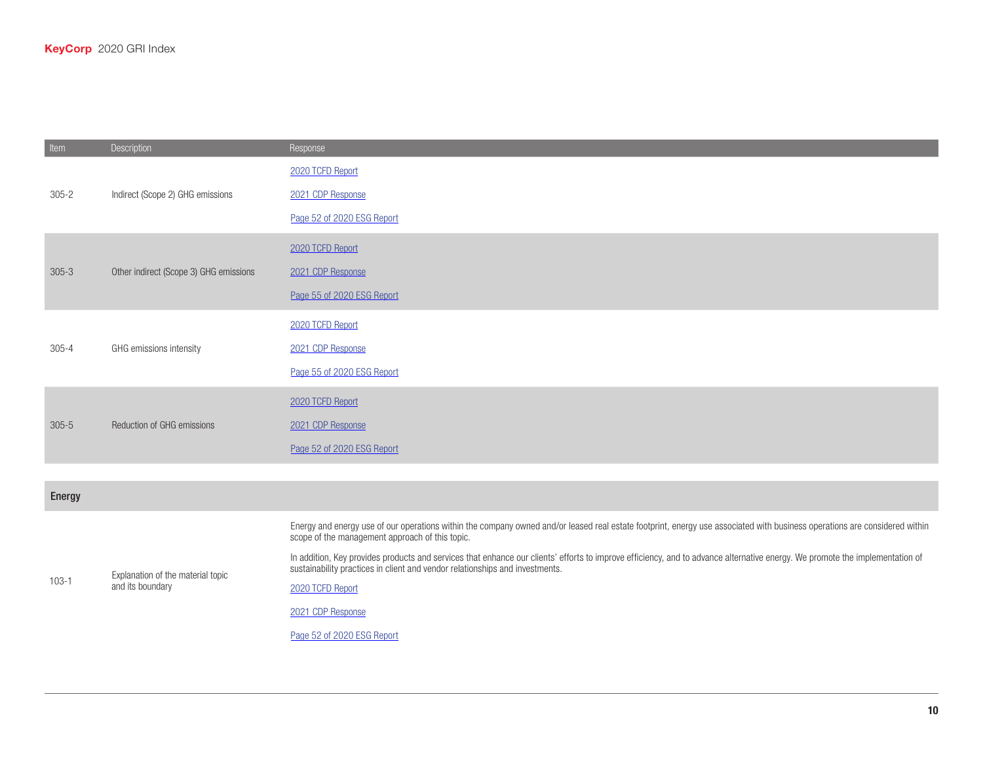| Item      | Description                                           | Response                                                                                                                                                                                                                                                     |
|-----------|-------------------------------------------------------|--------------------------------------------------------------------------------------------------------------------------------------------------------------------------------------------------------------------------------------------------------------|
| $305 - 2$ | Indirect (Scope 2) GHG emissions                      | 2020 TCFD Report                                                                                                                                                                                                                                             |
|           |                                                       | 2021 CDP Response                                                                                                                                                                                                                                            |
|           |                                                       | Page 52 of 2020 ESG Report                                                                                                                                                                                                                                   |
|           |                                                       | 2020 TCFD Report                                                                                                                                                                                                                                             |
| $305 - 3$ | Other indirect (Scope 3) GHG emissions                | 2021 CDP Response                                                                                                                                                                                                                                            |
|           |                                                       | Page 55 of 2020 ESG Report                                                                                                                                                                                                                                   |
|           | GHG emissions intensity                               | 2020 TCFD Report                                                                                                                                                                                                                                             |
| $305 - 4$ |                                                       | 2021 CDP Response                                                                                                                                                                                                                                            |
|           |                                                       | Page 55 of 2020 ESG Report                                                                                                                                                                                                                                   |
|           | Reduction of GHG emissions                            | 2020 TCFD Report                                                                                                                                                                                                                                             |
| $305 - 5$ |                                                       | 2021 CDP Response                                                                                                                                                                                                                                            |
|           |                                                       | Page 52 of 2020 ESG Report                                                                                                                                                                                                                                   |
|           |                                                       |                                                                                                                                                                                                                                                              |
| Energy    |                                                       |                                                                                                                                                                                                                                                              |
| $103 - 1$ | Explanation of the material topic<br>and its boundary | Energy and energy use of our operations within the company owned and/or leased real estate footprint, energy use associated with business operations are considered within<br>scope of the management approach of this topic.                                |
|           |                                                       | In addition, Key provides products and services that enhance our clients' efforts to improve efficiency, and to advance alternative energy. We promote the implementation of<br>sustainability practices in client and vendor relationships and investments. |
|           |                                                       | 2020 TCFD Report                                                                                                                                                                                                                                             |

[2021 CDP Response](https://www.key.com/kco/images/KeyCorp_CDP_Climate_Change_Response_2021.pdf)

Page 52 of [2020 ESG Report](https://www.key.com/about/corporate-responsibility/crreports.jsp)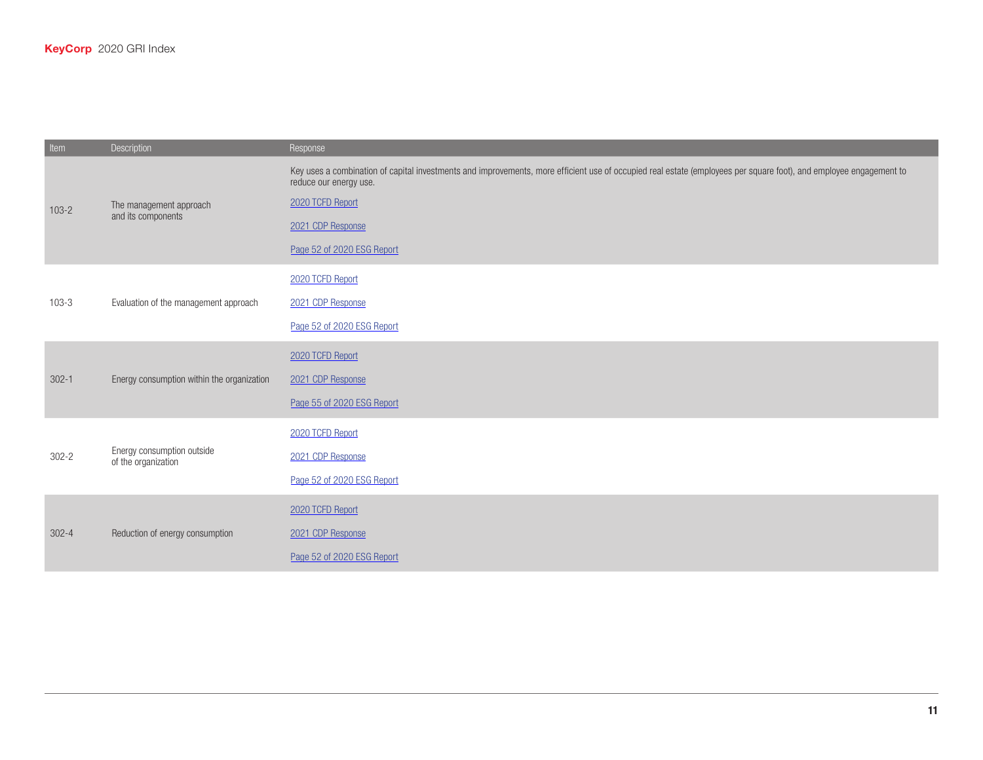| Item      | Description                                       | Response                                                                                                                                                                                                                                                            |
|-----------|---------------------------------------------------|---------------------------------------------------------------------------------------------------------------------------------------------------------------------------------------------------------------------------------------------------------------------|
| $103 - 2$ | The management approach<br>and its components     | Key uses a combination of capital investments and improvements, more efficient use of occupied real estate (employees per square foot), and employee engagement to<br>reduce our energy use.<br>2020 TCFD Report<br>2021 CDP Response<br>Page 52 of 2020 ESG Report |
| $103 - 3$ | Evaluation of the management approach             | 2020 TCFD Report<br>2021 CDP Response<br>Page 52 of 2020 ESG Report                                                                                                                                                                                                 |
| $302 - 1$ | Energy consumption within the organization        | 2020 TCFD Report<br>2021 CDP Response<br>Page 55 of 2020 ESG Report                                                                                                                                                                                                 |
| $302 - 2$ | Energy consumption outside<br>of the organization | 2020 TCFD Report<br>2021 CDP Response<br>Page 52 of 2020 ESG Report                                                                                                                                                                                                 |
| $302 - 4$ | Reduction of energy consumption                   | 2020 TCFD Report<br>2021 CDP Response<br>Page 52 of 2020 ESG Report                                                                                                                                                                                                 |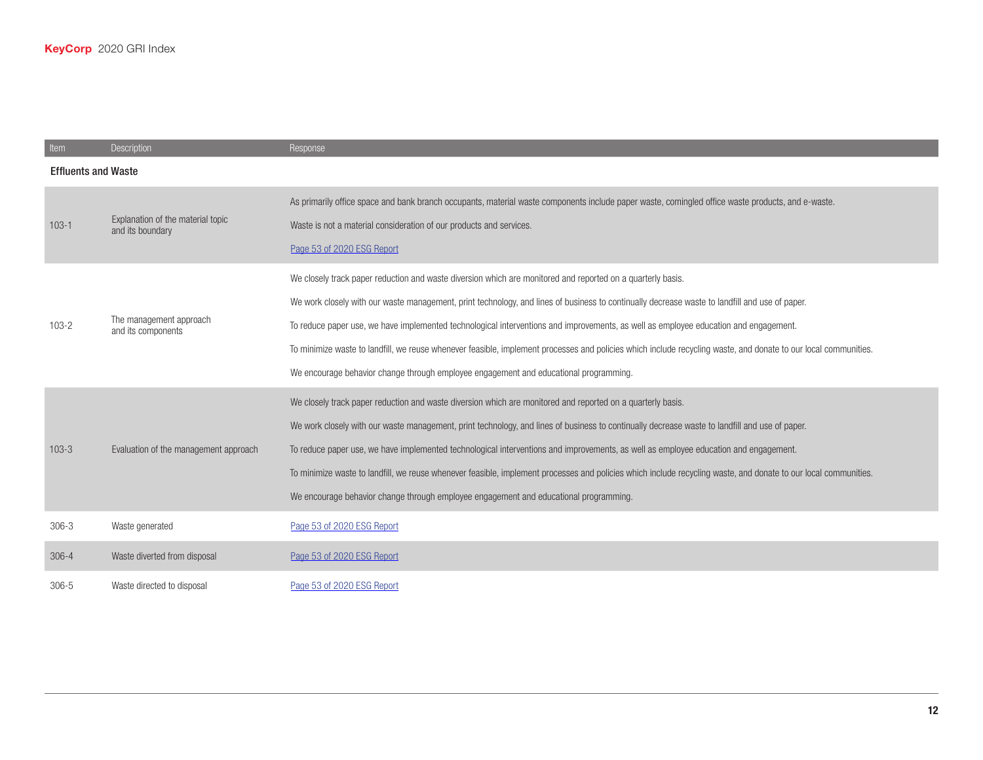| Item                       | Description                                           | Response                                                                                                                                                                                                                                                                                                                                                                                                                                                                                                                                                                                                                                                          |
|----------------------------|-------------------------------------------------------|-------------------------------------------------------------------------------------------------------------------------------------------------------------------------------------------------------------------------------------------------------------------------------------------------------------------------------------------------------------------------------------------------------------------------------------------------------------------------------------------------------------------------------------------------------------------------------------------------------------------------------------------------------------------|
| <b>Effluents and Waste</b> |                                                       |                                                                                                                                                                                                                                                                                                                                                                                                                                                                                                                                                                                                                                                                   |
| $103 - 1$                  | Explanation of the material topic<br>and its boundary | As primarily office space and bank branch occupants, material waste components include paper waste, comingled office waste products, and e-waste.<br>Waste is not a material consideration of our products and services.<br>Page 53 of 2020 ESG Report                                                                                                                                                                                                                                                                                                                                                                                                            |
| $103 - 2$                  | The management approach<br>and its components         | We closely track paper reduction and waste diversion which are monitored and reported on a quarterly basis.<br>We work closely with our waste management, print technology, and lines of business to continually decrease waste to landfill and use of paper.<br>To reduce paper use, we have implemented technological interventions and improvements, as well as employee education and engagement.<br>To minimize waste to landfill, we reuse whenever feasible, implement processes and policies which include recycling waste, and donate to our local communities.<br>We encourage behavior change through employee engagement and educational programming. |
| $103 - 3$                  | Evaluation of the management approach                 | We closely track paper reduction and waste diversion which are monitored and reported on a quarterly basis.<br>We work closely with our waste management, print technology, and lines of business to continually decrease waste to landfill and use of paper.<br>To reduce paper use, we have implemented technological interventions and improvements, as well as employee education and engagement.<br>To minimize waste to landfill, we reuse whenever feasible, implement processes and policies which include recycling waste, and donate to our local communities.<br>We encourage behavior change through employee engagement and educational programming. |
| $306 - 3$                  | Waste generated                                       | Page 53 of 2020 ESG Report                                                                                                                                                                                                                                                                                                                                                                                                                                                                                                                                                                                                                                        |
| $306 - 4$                  | Waste diverted from disposal                          | Page 53 of 2020 ESG Report                                                                                                                                                                                                                                                                                                                                                                                                                                                                                                                                                                                                                                        |
| $306 - 5$                  | Waste directed to disposal                            | Page 53 of 2020 ESG Report                                                                                                                                                                                                                                                                                                                                                                                                                                                                                                                                                                                                                                        |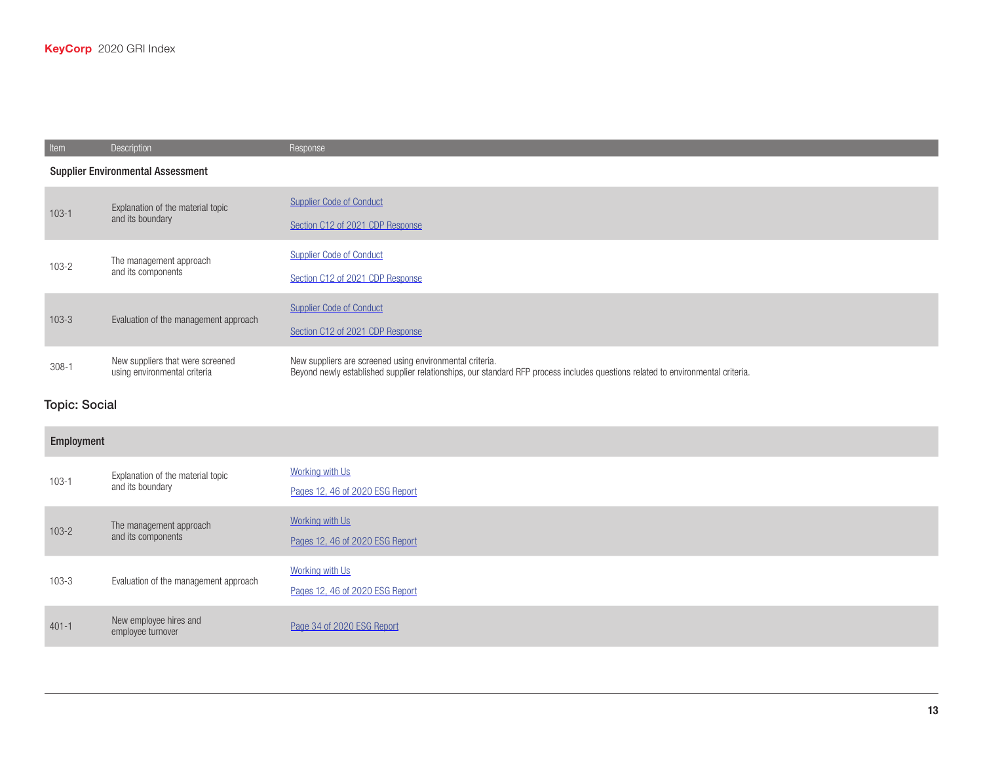| Item                                     | Description                                                      | Response                                                                                                                                                                                    |
|------------------------------------------|------------------------------------------------------------------|---------------------------------------------------------------------------------------------------------------------------------------------------------------------------------------------|
| <b>Supplier Environmental Assessment</b> |                                                                  |                                                                                                                                                                                             |
| $103-1$                                  | Explanation of the material topic<br>and its boundary            | <b>Supplier Code of Conduct</b><br>Section C12 of 2021 CDP Response                                                                                                                         |
| $103 - 2$                                | The management approach<br>and its components                    | <b>Supplier Code of Conduct</b><br>Section C12 of 2021 CDP Response                                                                                                                         |
| $103 - 3$                                | Evaluation of the management approach                            | <b>Supplier Code of Conduct</b><br>Section C12 of 2021 CDP Response                                                                                                                         |
| $308-1$                                  | New suppliers that were screened<br>using environmental criteria | New suppliers are screened using environmental criteria.<br>Beyond newly established supplier relationships, our standard RFP process includes questions related to environmental criteria. |

## Topic: Social

## Employment 103-1 Explanation of the material topic<br>
<sub>2nd</sub> its boundary and its boundary [Working with Us](https://www.key.com/about/careers/working-with-us.jsp) Pages 12, 46 of [2020 ESG Report](https://www.key.com/about/corporate-responsibility/crreports.jsp) 103-2 The management approach and its components [Working with Us](https://www.key.com/about/careers/working-with-us.jsp) Pages 12, 46 of [2020 ESG Report](https://www.key.com/about/corporate-responsibility/crreports.jsp) 103-3 Evaluation of the management approach [Working with Us](https://www.key.com/about/careers/working-with-us.jsp) Pages 12, 46 of [2020 ESG Report](https://www.key.com/about/corporate-responsibility/crreports.jsp) Act were many of the same terms and the method of 1020 ESG Report employee turnover and the method of [2020 ESG Report](https://www.key.com/about/corporate-responsibility/crreports.jsp)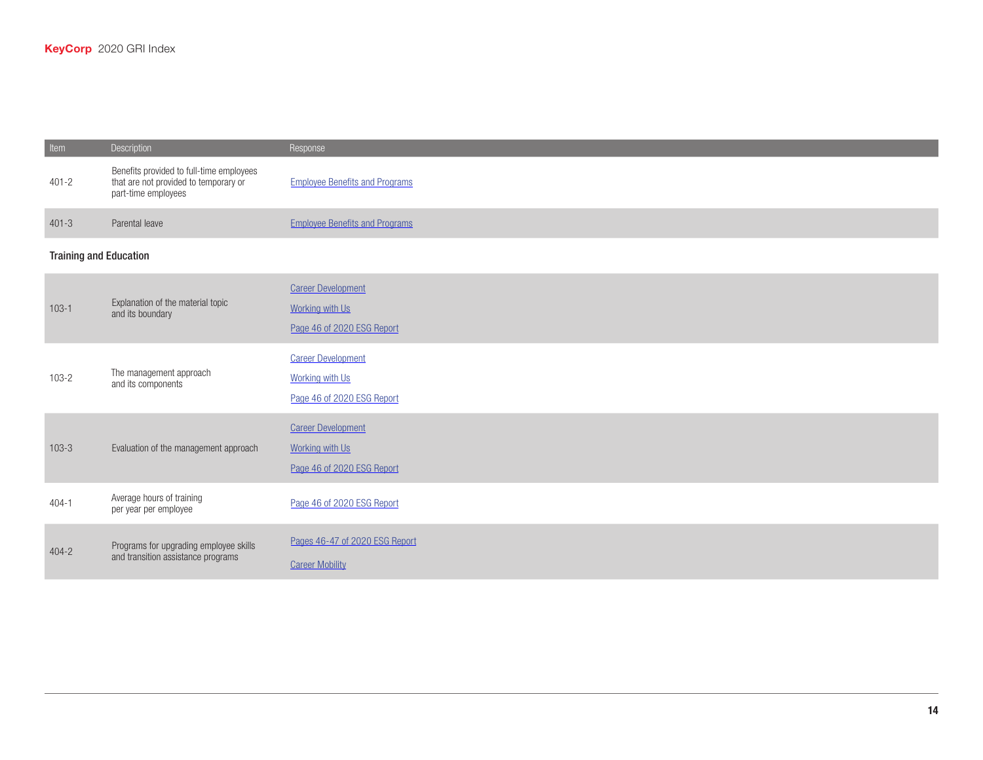| Item                          | Description                                                                                              | Response                                                                          |
|-------------------------------|----------------------------------------------------------------------------------------------------------|-----------------------------------------------------------------------------------|
| $401 - 2$                     | Benefits provided to full-time employees<br>that are not provided to temporary or<br>part-time employees | <b>Employee Benefits and Programs</b>                                             |
| $401 - 3$                     | Parental leave                                                                                           | <b>Employee Benefits and Programs</b>                                             |
| <b>Training and Education</b> |                                                                                                          |                                                                                   |
| $103 - 1$                     | Explanation of the material topic<br>and its boundary                                                    | <b>Career Development</b><br><b>Working with Us</b><br>Page 46 of 2020 ESG Report |
| $103 - 2$                     | The management approach<br>and its components                                                            | <b>Career Development</b><br><b>Working with Us</b><br>Page 46 of 2020 ESG Report |
| $103 - 3$                     | Evaluation of the management approach                                                                    | <b>Career Development</b><br>Working with Us<br>Page 46 of 2020 ESG Report        |
| $404 - 1$                     | Average hours of training<br>per year per employee                                                       | Page 46 of 2020 ESG Report                                                        |
| $404 - 2$                     | Programs for upgrading employee skills<br>and transition assistance programs                             | Pages 46-47 of 2020 ESG Report<br><b>Career Mobility</b>                          |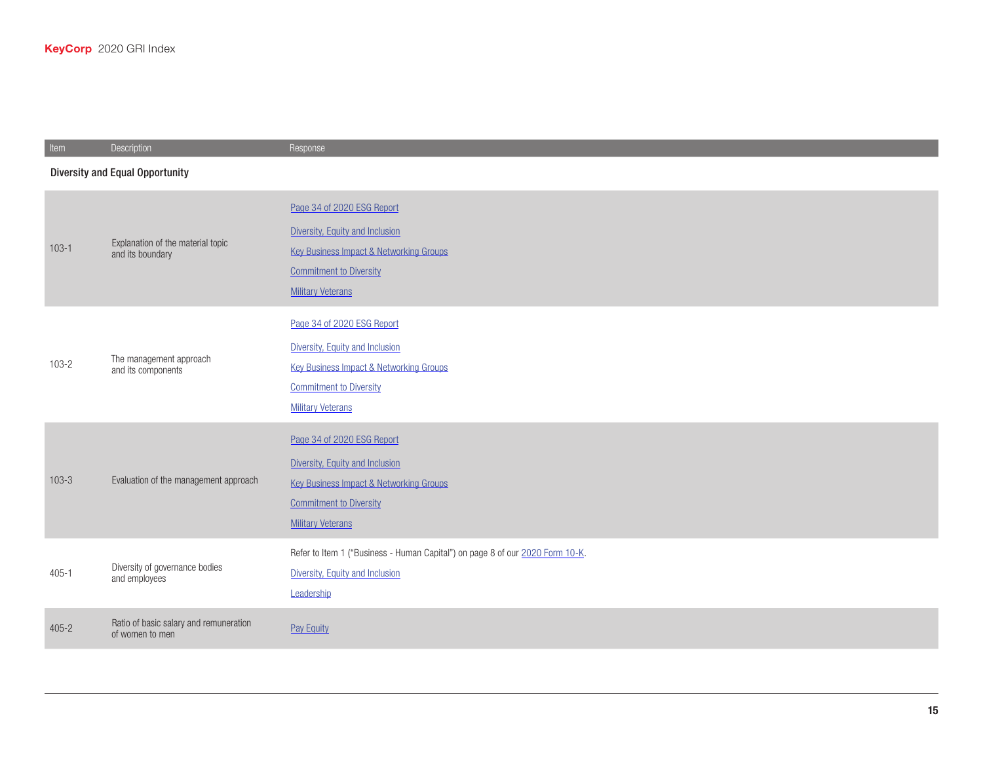| Item                                   | Description                                               | Response                                                                                                                                                                          |
|----------------------------------------|-----------------------------------------------------------|-----------------------------------------------------------------------------------------------------------------------------------------------------------------------------------|
| <b>Diversity and Equal Opportunity</b> |                                                           |                                                                                                                                                                                   |
| $103 - 1$                              | Explanation of the material topic<br>and its boundary     | Page 34 of 2020 ESG Report<br>Diversity, Equity and Inclusion<br>Key Business Impact & Networking Groups<br><b>Commitment to Diversity</b><br><b>Military Veterans</b>            |
| $103 - 2$                              | The management approach<br>and its components             | Page 34 of 2020 ESG Report<br>Diversity, Equity and Inclusion<br><b>Key Business Impact &amp; Networking Groups</b><br><b>Commitment to Diversity</b><br><b>Military Veterans</b> |
| $103-3$                                | Evaluation of the management approach                     | Page 34 of 2020 ESG Report<br>Diversity, Equity and Inclusion<br><b>Key Business Impact &amp; Networking Groups</b><br><b>Commitment to Diversity</b><br><b>Military Veterans</b> |
| $405 - 1$                              | Diversity of governance bodies<br>and employees           | Refer to Item 1 ("Business - Human Capital") on page 8 of our 2020 Form 10-K.<br>Diversity, Equity and Inclusion<br>Leadership                                                    |
| $405 - 2$                              | Ratio of basic salary and remuneration<br>of women to men | Pay Equity                                                                                                                                                                        |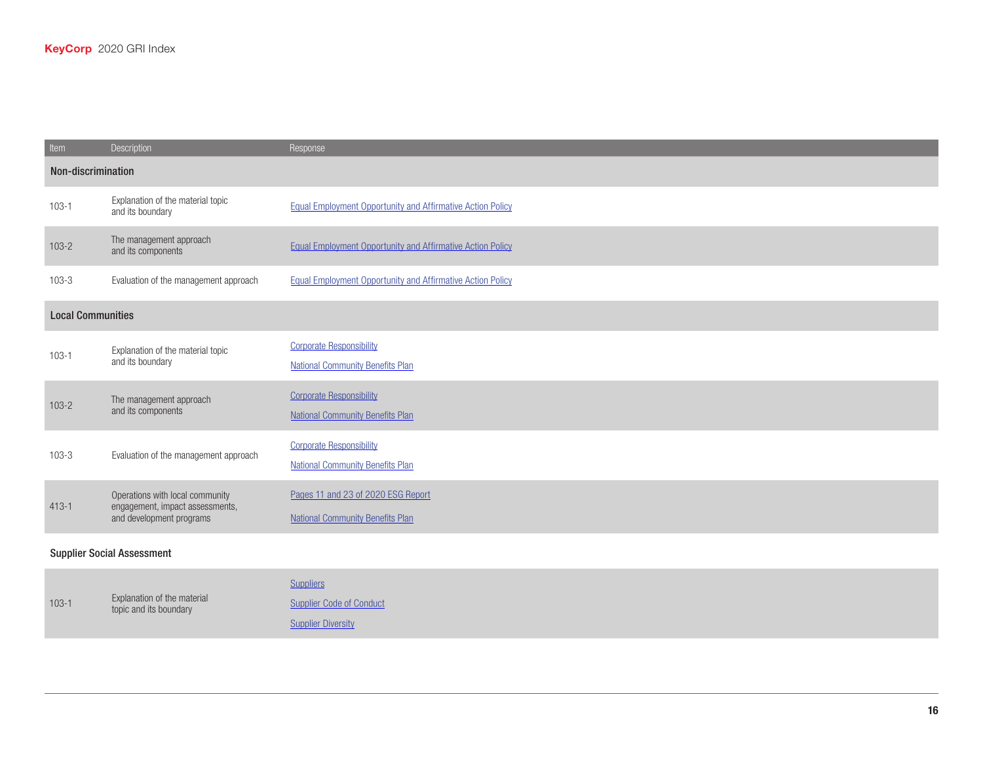| Item                              | Description                                                                                    | Response                                                                      |
|-----------------------------------|------------------------------------------------------------------------------------------------|-------------------------------------------------------------------------------|
| Non-discrimination                |                                                                                                |                                                                               |
| $103 - 1$                         | Explanation of the material topic<br>and its boundary                                          | <b>Equal Employment Opportunity and Affirmative Action Policy</b>             |
| $103 - 2$                         | The management approach<br>and its components                                                  | <b>Equal Employment Opportunity and Affirmative Action Policy</b>             |
| $103 - 3$                         | Evaluation of the management approach                                                          | <b>Equal Employment Opportunity and Affirmative Action Policy</b>             |
| <b>Local Communities</b>          |                                                                                                |                                                                               |
| $103 - 1$                         | Explanation of the material topic<br>and its boundary                                          | <b>Corporate Responsibility</b><br><b>National Community Benefits Plan</b>    |
| $103 - 2$                         | The management approach<br>and its components                                                  | <b>Corporate Responsibility</b><br><b>National Community Benefits Plan</b>    |
| $103 - 3$                         | Evaluation of the management approach                                                          | <b>Corporate Responsibility</b><br><b>National Community Benefits Plan</b>    |
| $413 - 1$                         | Operations with local community<br>engagement, impact assessments,<br>and development programs | Pages 11 and 23 of 2020 ESG Report<br><b>National Community Benefits Plan</b> |
| <b>Supplier Social Assessment</b> |                                                                                                |                                                                               |
|                                   |                                                                                                | <b>Suppliers</b>                                                              |

|           |                                                       | <b>Suppliers</b>                |
|-----------|-------------------------------------------------------|---------------------------------|
| $103 - 1$ | Explanation of the material<br>topic and its boundary | <b>Supplier Code of Conduct</b> |
|           |                                                       | <b>Supplier Diversity</b>       |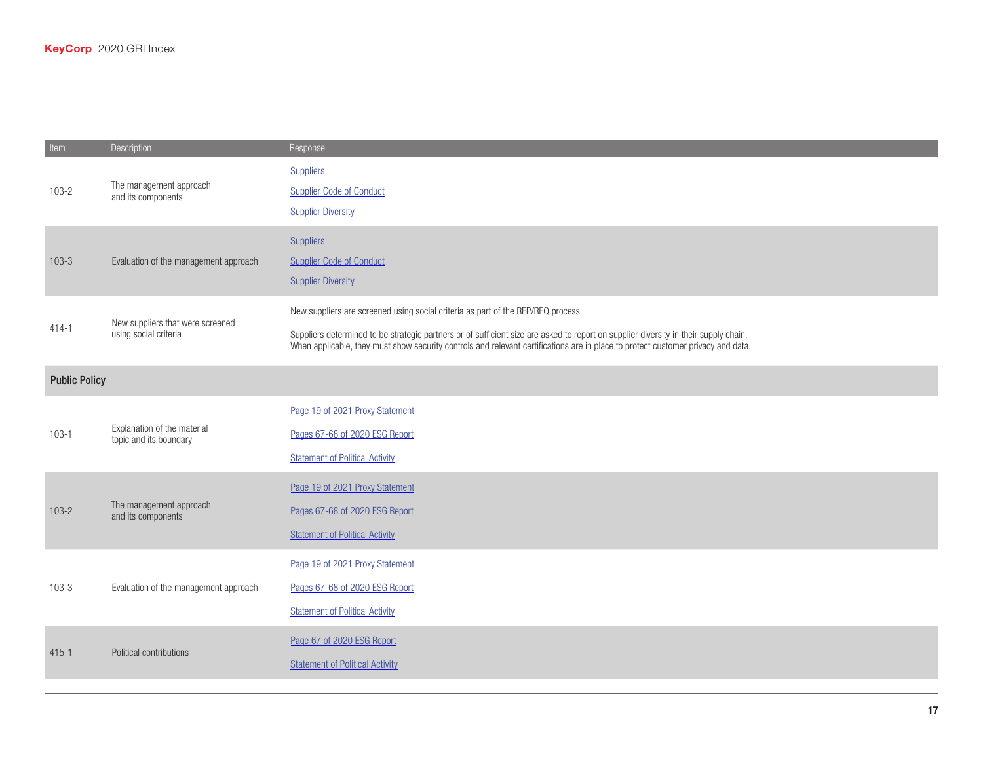| Item      | Description                                               | Response                                                                                                                                                                                                                                                                                                                                                     |  |
|-----------|-----------------------------------------------------------|--------------------------------------------------------------------------------------------------------------------------------------------------------------------------------------------------------------------------------------------------------------------------------------------------------------------------------------------------------------|--|
| $103 - 2$ | The management approach<br>and its components             | <b>Suppliers</b><br><b>Supplier Code of Conduct</b><br><b>Supplier Diversity</b>                                                                                                                                                                                                                                                                             |  |
| $103 - 3$ | Evaluation of the management approach                     | <b>Suppliers</b><br><b>Supplier Code of Conduct</b><br><b>Supplier Diversity</b>                                                                                                                                                                                                                                                                             |  |
| $414 - 1$ | New suppliers that were screened<br>using social criteria | New suppliers are screened using social criteria as part of the RFP/RFQ process.<br>Suppliers determined to be strategic partners or of sufficient size are asked to report on supplier diversity in their supply chain.<br>When applicable, they must show security controls and relevant certifications are in place to protect customer privacy and data. |  |
|           | <b>Public Policy</b>                                      |                                                                                                                                                                                                                                                                                                                                                              |  |
| $103 - 1$ | Explanation of the material<br>topic and its boundary     | Page 19 of 2021 Proxy Statement<br>Pages 67-68 of 2020 ESG Report<br><b>Statement of Political Activity</b>                                                                                                                                                                                                                                                  |  |
| $103 - 2$ | The management approach<br>and its components             | Page 19 of 2021 Proxy Statement<br>Pages 67-68 of 2020 ESG Report<br><b>Statement of Political Activity</b>                                                                                                                                                                                                                                                  |  |
| $103 - 3$ | Evaluation of the management approach                     | Page 19 of 2021 Proxy Statement<br>Pages 67-68 of 2020 ESG Report<br><b>Statement of Political Activity</b>                                                                                                                                                                                                                                                  |  |
| $415 - 1$ | Political contributions                                   | Page 67 of 2020 ESG Report<br><b>Statement of Political Activity</b>                                                                                                                                                                                                                                                                                         |  |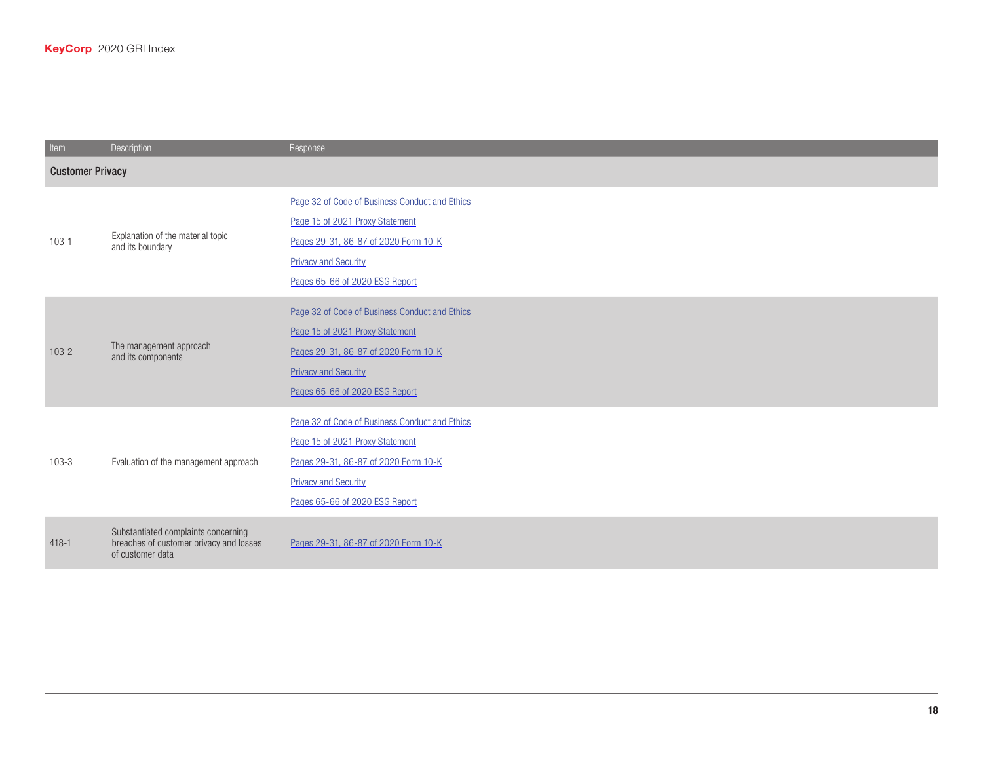| Item      | Description                                                                                        | Response                                                                                                                                                                                   |  |
|-----------|----------------------------------------------------------------------------------------------------|--------------------------------------------------------------------------------------------------------------------------------------------------------------------------------------------|--|
|           | <b>Customer Privacy</b>                                                                            |                                                                                                                                                                                            |  |
| $103 - 1$ | Explanation of the material topic<br>and its boundary                                              | Page 32 of Code of Business Conduct and Ethics<br>Page 15 of 2021 Proxy Statement<br>Pages 29-31, 86-87 of 2020 Form 10-K<br><b>Privacy and Security</b><br>Pages 65-66 of 2020 ESG Report |  |
| $103 - 2$ | The management approach<br>and its components                                                      | Page 32 of Code of Business Conduct and Ethics<br>Page 15 of 2021 Proxy Statement<br>Pages 29-31, 86-87 of 2020 Form 10-K<br><b>Privacy and Security</b><br>Pages 65-66 of 2020 ESG Report |  |
| $103 - 3$ | Evaluation of the management approach                                                              | Page 32 of Code of Business Conduct and Ethics<br>Page 15 of 2021 Proxy Statement<br>Pages 29-31, 86-87 of 2020 Form 10-K<br><b>Privacy and Security</b><br>Pages 65-66 of 2020 ESG Report |  |
| $418 - 1$ | Substantiated complaints concerning<br>breaches of customer privacy and losses<br>of customer data | Pages 29-31, 86-87 of 2020 Form 10-K                                                                                                                                                       |  |